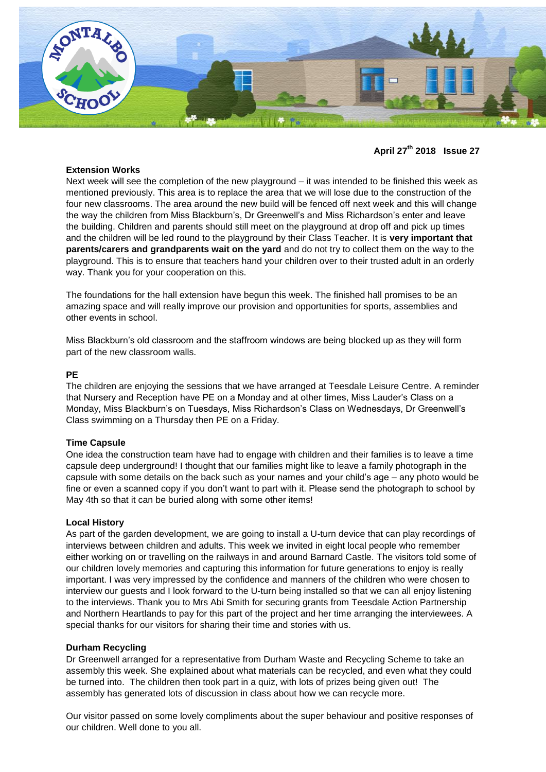

**April 27th 2018 Issue 27**

# **Extension Works**

Next week will see the completion of the new playground – it was intended to be finished this week as mentioned previously. This area is to replace the area that we will lose due to the construction of the four new classrooms. The area around the new build will be fenced off next week and this will change the way the children from Miss Blackburn's, Dr Greenwell's and Miss Richardson's enter and leave the building. Children and parents should still meet on the playground at drop off and pick up times and the children will be led round to the playground by their Class Teacher. It is **very important that parents/carers and grandparents wait on the yard** and do not try to collect them on the way to the playground. This is to ensure that teachers hand your children over to their trusted adult in an orderly way. Thank you for your cooperation on this.

The foundations for the hall extension have begun this week. The finished hall promises to be an amazing space and will really improve our provision and opportunities for sports, assemblies and other events in school.

Miss Blackburn's old classroom and the staffroom windows are being blocked up as they will form part of the new classroom walls.

### **PE**

The children are enjoying the sessions that we have arranged at Teesdale Leisure Centre. A reminder that Nursery and Reception have PE on a Monday and at other times, Miss Lauder's Class on a Monday, Miss Blackburn's on Tuesdays, Miss Richardson's Class on Wednesdays, Dr Greenwell's Class swimming on a Thursday then PE on a Friday.

# **Time Capsule**

One idea the construction team have had to engage with children and their families is to leave a time capsule deep underground! I thought that our families might like to leave a family photograph in the capsule with some details on the back such as your names and your child's age – any photo would be fine or even a scanned copy if you don't want to part with it. Please send the photograph to school by May 4th so that it can be buried along with some other items!

#### **Local History**

As part of the garden development, we are going to install a U-turn device that can play recordings of interviews between children and adults. This week we invited in eight local people who remember either working on or travelling on the railways in and around Barnard Castle. The visitors told some of our children lovely memories and capturing this information for future generations to enjoy is really important. I was very impressed by the confidence and manners of the children who were chosen to interview our guests and I look forward to the U-turn being installed so that we can all enjoy listening to the interviews. Thank you to Mrs Abi Smith for securing grants from Teesdale Action Partnership and Northern Heartlands to pay for this part of the project and her time arranging the interviewees. A special thanks for our visitors for sharing their time and stories with us.

#### **Durham Recycling**

Dr Greenwell arranged for a representative from Durham Waste and Recycling Scheme to take an assembly this week. She explained about what materials can be recycled, and even what they could be turned into. The children then took part in a quiz, with lots of prizes being given out! The assembly has generated lots of discussion in class about how we can recycle more.

Our visitor passed on some lovely compliments about the super behaviour and positive responses of our children. Well done to you all.